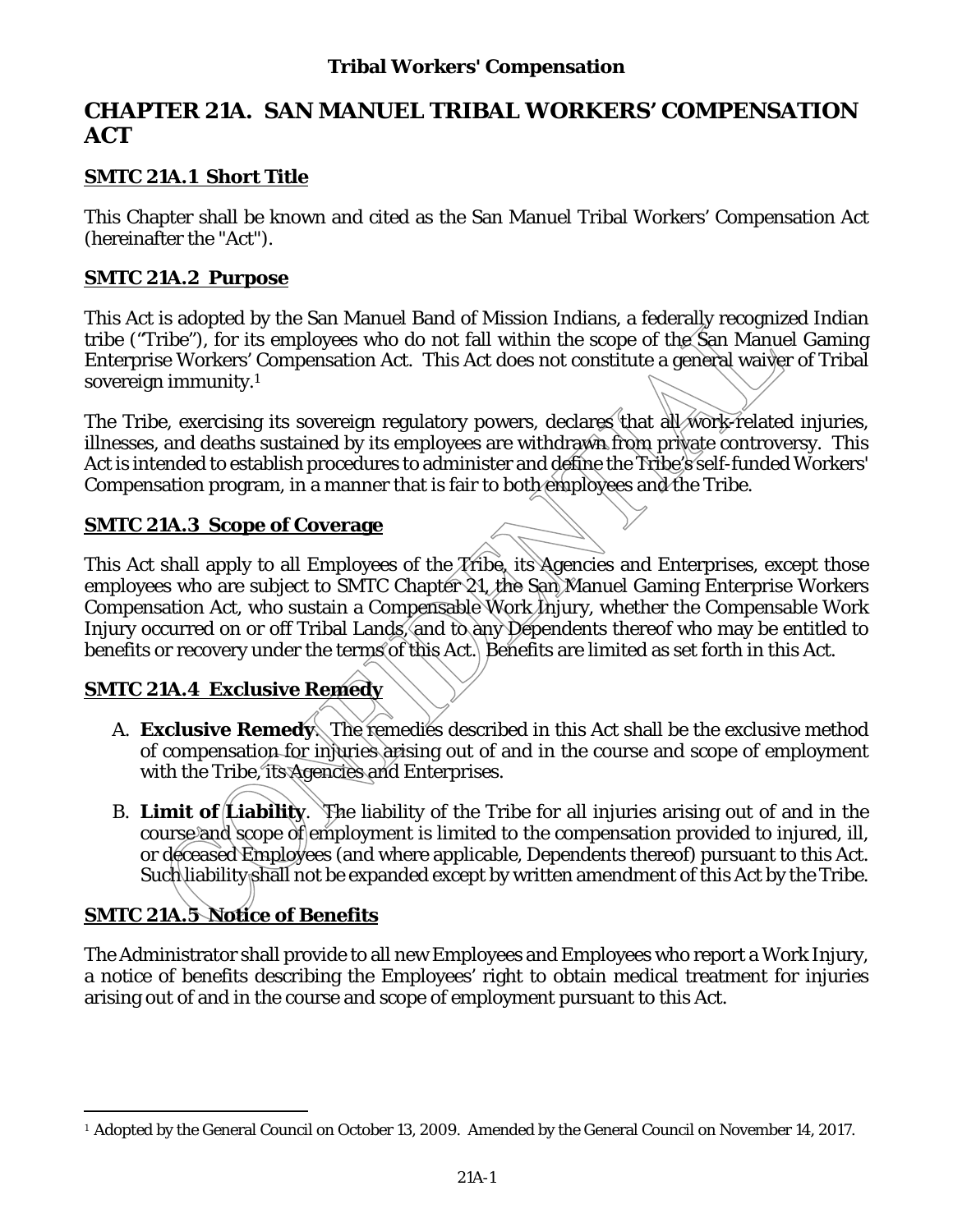# **CHAPTER 21A. SAN MANUEL TRIBAL WORKERS' COMPENSATION ACT**

# **SMTC 21A.1 Short Title**

This Chapter shall be known and cited as the San Manuel Tribal Workers' Compensation Act (hereinafter the "Act").

### **SMTC 21A.2 Purpose**

This Act is adopted by the San Manuel Band of Mission Indians, a federally recognized Indian tribe ("Tribe"), for its employees who do not fall within the scope of the San Manuel Gaming Enterprise Workers' Compensation Act. This Act does not constitute a general waiver of Tribal sovereign immunity.1

The Tribe, exercising its sovereign regulatory powers, declares that all work-related injuries. illnesses, and deaths sustained by its employees are withdrawn from private controversy. This Act is intended to establish procedures to administer and define the Tribe's self-funded Workers' Compensation program, in a manner that is fair to both employees and the Tribe.

### **SMTC 21A.3 Scope of Coverage**

This Act shall apply to all Employees of the *A*ribe, its Agencies and Enterprises, except those employees who are subject to SMTC Chapter 21, the San Manuel Gaming Enterprise Workers Compensation Act, who sustain a Compensable Work Injury, whether the Compensable Work Injury occurred on or off Tribal Lands, and to any Dependents thereof who may be entitled to benefits or recovery under the terms of this Act. Benefits are limited as set forth in this Act.

## **SMTC 21A.4 Exclusive Remedy**

- A. **Exclusive Remedy**. The remedies described in this Act shall be the exclusive method of compensation for injuries arising out of and in the course and scope of employment with the Tribe, its Agencies and Enterprises.
- B. **Limit of Liability**. The liability of the Tribe for all injuries arising out of and in the course and scope of employment is limited to the compensation provided to injured, ill, or deceased Employees (and where applicable, Dependents thereof) pursuant to this Act. Such liability shall not be expanded except by written amendment of this Act by the Tribe.

# **SMTC 21A.5 Notice of Benefits**

 $\overline{a}$ 

The Administrator shall provide to all new Employees and Employees who report a Work Injury, a notice of benefits describing the Employees' right to obtain medical treatment for injuries arising out of and in the course and scope of employment pursuant to this Act.

<sup>&</sup>lt;sup>1</sup> Adopted by the General Council on October 13, 2009. Amended by the General Council on November 14, 2017.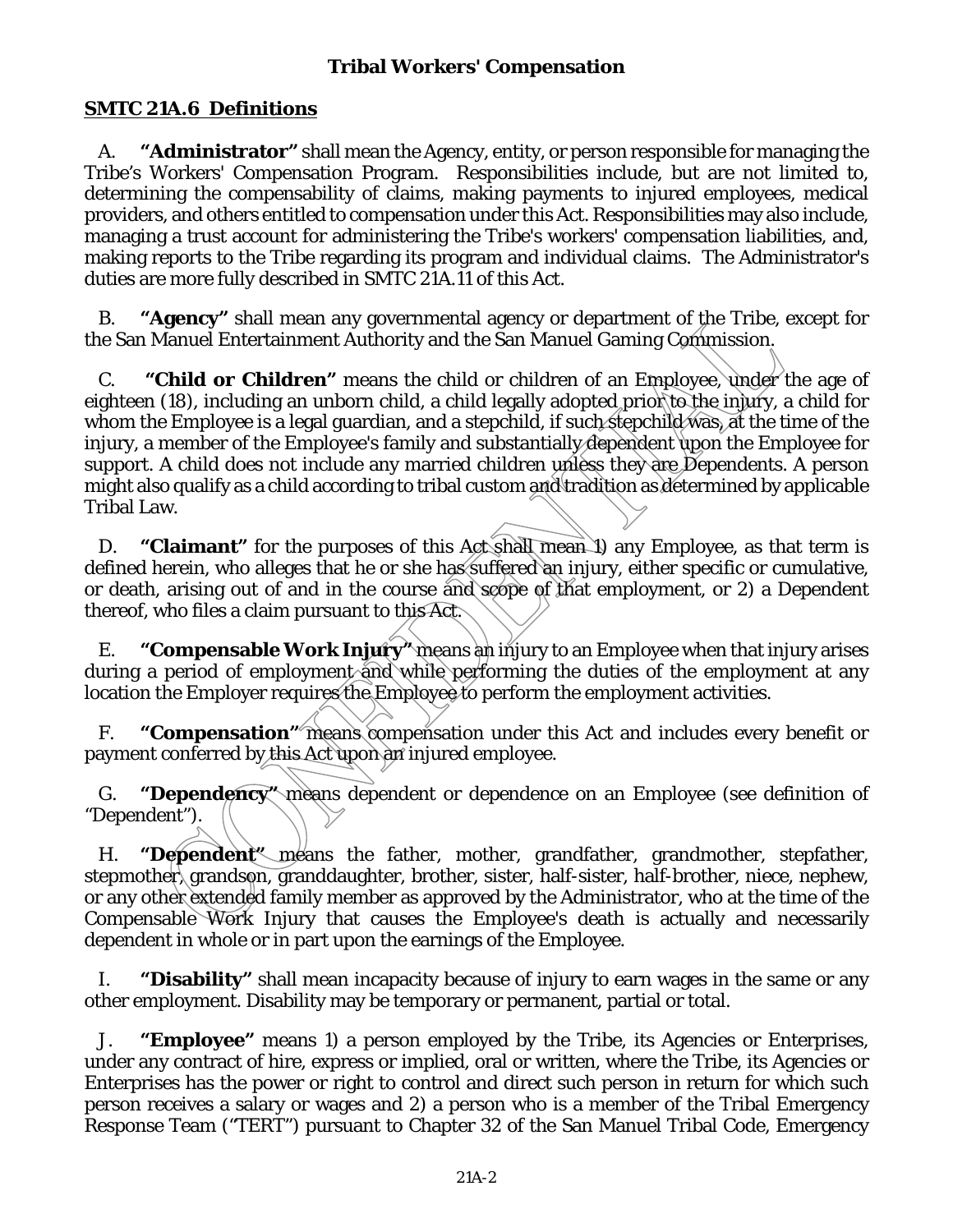## **SMTC 21A.6 Definitions**

A. **"Administrator"** shall mean the Agency, entity, or person responsible for managing the Tribe's Workers' Compensation Program. Responsibilities include, but are not limited to, determining the compensability of claims, making payments to injured employees, medical providers, and others entitled to compensation under this Act. Responsibilities may also include, managing a trust account for administering the Tribe's workers' compensation liabilities, and, making reports to the Tribe regarding its program and individual claims. The Administrator's duties are more fully described in SMTC 21A.11 of this Act.

B. **"Agency"** shall mean any governmental agency or department of the Tribe, except for the San Manuel Entertainment Authority and the San Manuel Gaming Commission.

C. **"Child or Children"** means the child or children of an Employee, under the age of eighteen (18), including an unborn child, a child legally adopted prior to the injury, a child for whom the Employee is a legal guardian, and a stepchild, if such stepchild was, at the time of the injury, a member of the Employee's family and substantially dependent upon the Employee for support. A child does not include any married children unless they are Dependents. A person might also qualify as a child according to tribal custom and tradition as determined by applicable Tribal Law.

D. **"Claimant"** for the purposes of this Act shall mean 1) any Employee, as that term is defined herein, who alleges that he or she has suffered an injury, either specific or cumulative, or death, arising out of and in the course and scope of that employment, or 2) a Dependent thereof, who files a claim pursuant to this Act.

E. **"Compensable Work Injury"** means an injury to an Employee when that injury arises during a period of employment and while performing the duties of the employment at any location the Employer requires the Employee to perform the employment activities.

F. **"Compensation"** means compensation under this Act and includes every benefit or payment conferred by this Act upon an injured employee.

G. **"Dependency"** means dependent or dependence on an Employee (see definition of "Dependent").

H. **"Dependent"** means the father, mother, grandfather, grandmother, stepfather, stepmother, grandson, granddaughter, brother, sister, half-sister, half-brother, niece, nephew, or any other extended family member as approved by the Administrator, who at the time of the Compensable Work Injury that causes the Employee's death is actually and necessarily dependent in whole or in part upon the earnings of the Employee.

I. **"Disability"** shall mean incapacity because of injury to earn wages in the same or any other employment. Disability may be temporary or permanent, partial or total.

J. **"Employee"** means 1) a person employed by the Tribe, its Agencies or Enterprises, under any contract of hire, express or implied, oral or written, where the Tribe, its Agencies or Enterprises has the power or right to control and direct such person in return for which such person receives a salary or wages and 2) a person who is a member of the Tribal Emergency Response Team ("TERT") pursuant to Chapter 32 of the San Manuel Tribal Code, Emergency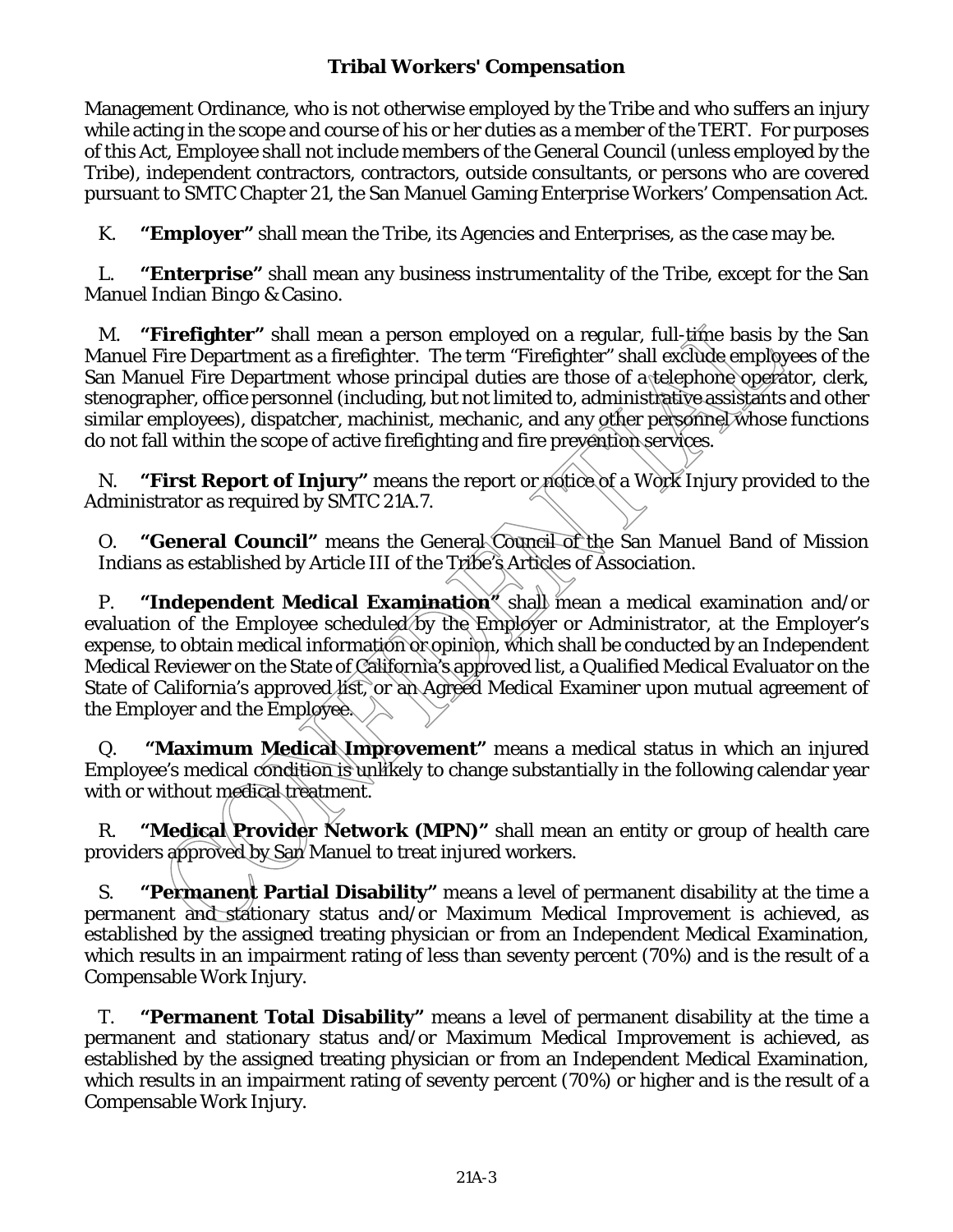Management Ordinance, who is not otherwise employed by the Tribe and who suffers an injury while acting in the scope and course of his or her duties as a member of the TERT. For purposes of this Act, Employee shall not include members of the General Council (unless employed by the Tribe), independent contractors, contractors, outside consultants, or persons who are covered pursuant to SMTC Chapter 21, the San Manuel Gaming Enterprise Workers' Compensation Act.

K. **"Employer"** shall mean the Tribe, its Agencies and Enterprises, as the case may be.

L. **"Enterprise"** shall mean any business instrumentality of the Tribe, except for the San Manuel Indian Bingo & Casino.

M. **"Firefighter"** shall mean a person employed on a regular, full-time basis by the San Manuel Fire Department as a firefighter. The term "Firefighter" shall exclude employees of the San Manuel Fire Department whose principal duties are those of a telephone operator, clerk, stenographer, office personnel (including, but not limited to, administrative assistants and other similar employees), dispatcher, machinist, mechanic, and any other personnel whose functions do not fall within the scope of active firefighting and fire prevention services.

N. **"First Report of Injury"** means the report or notice of a Work Injury provided to the Administrator as required by SMTC 21A.7.

O. **"General Council"** means the General Council of the San Manuel Band of Mission Indians as established by Article III of the Tribe's Articles of Association.

P. **"Independent Medical Examination"** shall mean a medical examination and/or evaluation of the Employee scheduled by the Employer or Administrator, at the Employer's expense, to obtain medical information or opinion, which shall be conducted by an Independent Medical Reviewer on the State of California's approved list, a Qualified Medical Evaluator on the State of California's approved list, or an Agreed Medical Examiner upon mutual agreement of the Employer and the Employee.

Q. **"Maximum Medical Improvement"** means a medical status in which an injured Employee's medical condition is unlikely to change substantially in the following calendar year with or without medical treatment.

R. **"Medical Provider Network (MPN)"** shall mean an entity or group of health care providers approved by San Manuel to treat injured workers.

S. **"Permanent Partial Disability"** means a level of permanent disability at the time a permanent and stationary status and/or Maximum Medical Improvement is achieved, as established by the assigned treating physician or from an Independent Medical Examination, which results in an impairment rating of less than seventy percent (70%) and is the result of a Compensable Work Injury.

T. **"Permanent Total Disability"** means a level of permanent disability at the time a permanent and stationary status and/or Maximum Medical Improvement is achieved, as established by the assigned treating physician or from an Independent Medical Examination, which results in an impairment rating of seventy percent (70%) or higher and is the result of a Compensable Work Injury.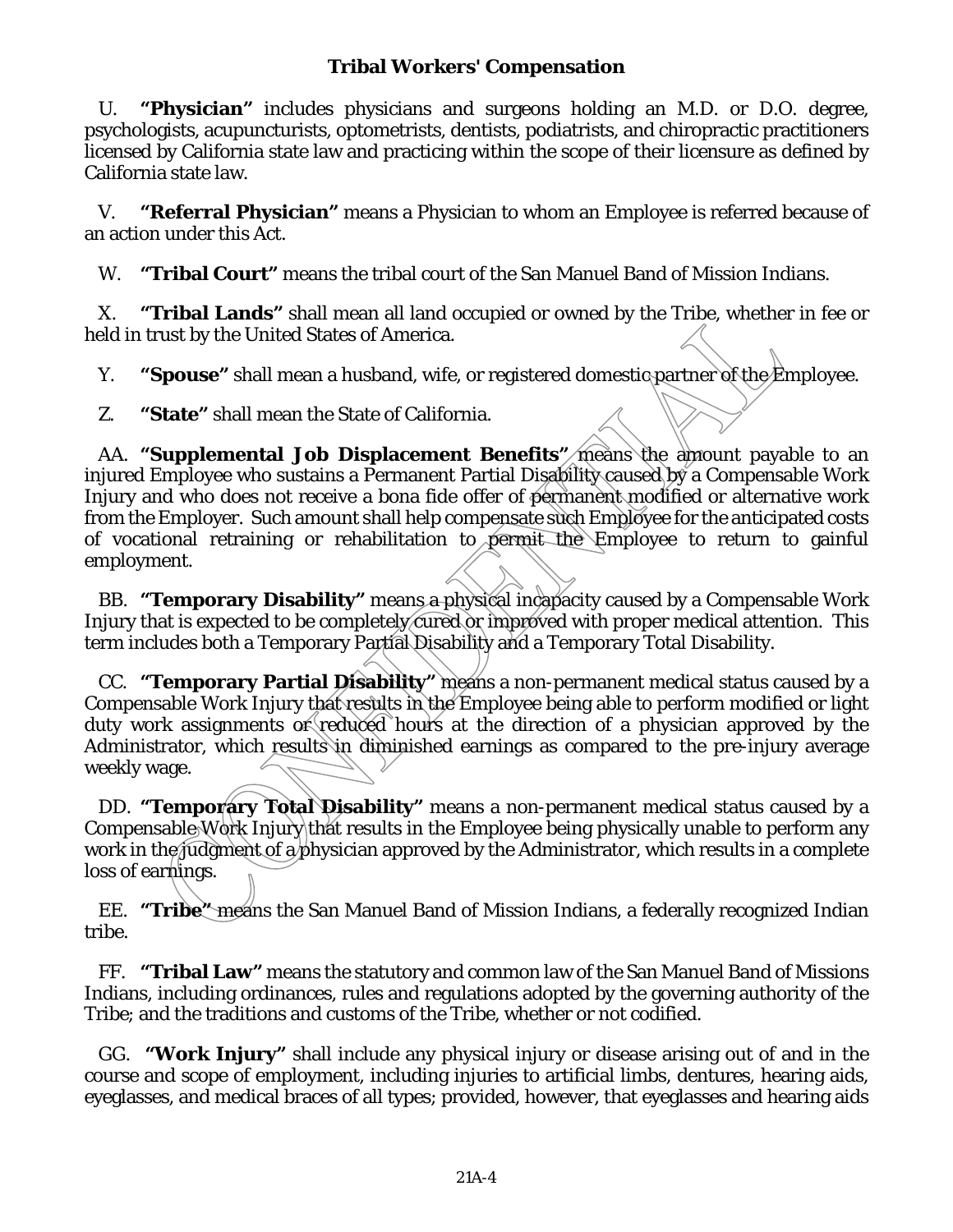U. **"Physician"** includes physicians and surgeons holding an M.D. or D.O. degree, psychologists, acupuncturists, optometrists, dentists, podiatrists, and chiropractic practitioners licensed by California state law and practicing within the scope of their licensure as defined by California state law.

V. **"Referral Physician"** means a Physician to whom an Employee is referred because of an action under this Act.

W. **"Tribal Court"** means the tribal court of the San Manuel Band of Mission Indians.

X. **"Tribal Lands"** shall mean all land occupied or owned by the Tribe, whether in fee or held in trust by the United States of America.

Y. **"Spouse"** shall mean a husband, wife, or registered domestic partner of the Employee.

Z. **"State"** shall mean the State of California.

AA. **"Supplemental Job Displacement Benefits"** means the amount payable to an injured Employee who sustains a Permanent Partial Disability caused by a Compensable Work Injury and who does not receive a bona fide offer of permanent modified or alternative work from the Employer. Such amount shall help compensate such Employee for the anticipated costs of vocational retraining or rehabilitation to permit the Employee to return to gainful employment.

BB. **"Temporary Disability"** means a physical incapacity caused by a Compensable Work Injury that is expected to be completely cured or improved with proper medical attention. This term includes both a Temporary Partial Disability and a Temporary Total Disability.

CC. **"Temporary Partial Disability"** means a non-permanent medical status caused by a Compensable Work Injury that results in the Employee being able to perform modified or light duty work assignments or reduced hours at the direction of a physician approved by the Administrator, which results in diminished earnings as compared to the pre-injury average weekly wage.

DD. **"Temporary Total Disability"** means a non-permanent medical status caused by a Compensable Work Injury that results in the Employee being physically unable to perform any work in the judgment of a physician approved by the Administrator, which results in a complete loss of earnings.

EE. **"Tribe"** means the San Manuel Band of Mission Indians, a federally recognized Indian tribe.

FF. **"Tribal Law"** means the statutory and common law of the San Manuel Band of Missions Indians, including ordinances, rules and regulations adopted by the governing authority of the Tribe; and the traditions and customs of the Tribe, whether or not codified.

GG. **"Work Injury"** shall include any physical injury or disease arising out of and in the course and scope of employment, including injuries to artificial limbs, dentures, hearing aids, eyeglasses, and medical braces of all types; provided, however, that eyeglasses and hearing aids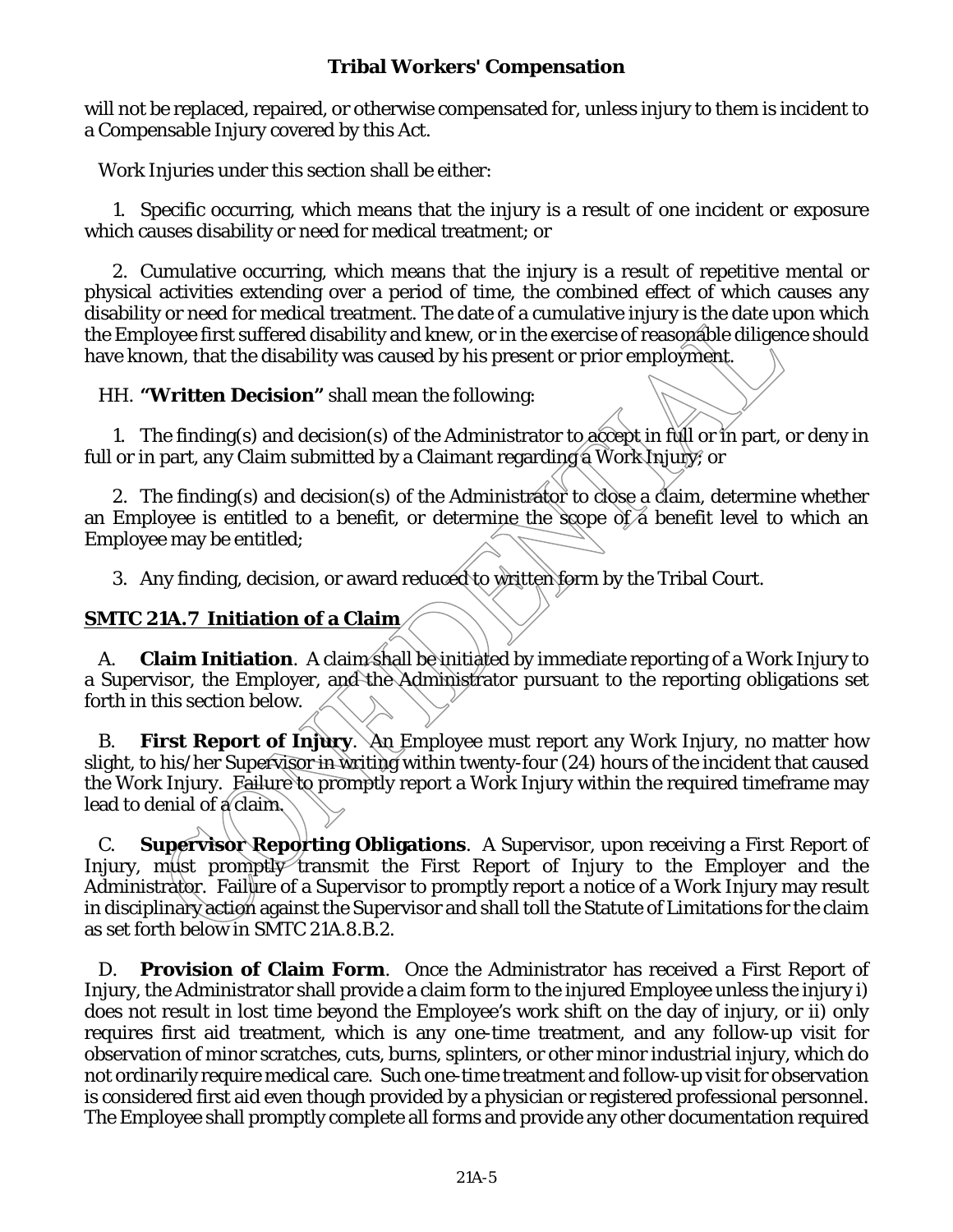will not be replaced, repaired, or otherwise compensated for, unless injury to them is incident to a Compensable Injury covered by this Act.

Work Injuries under this section shall be either:

1. Specific occurring, which means that the injury is a result of one incident or exposure which causes disability or need for medical treatment; or

2. Cumulative occurring, which means that the injury is a result of repetitive mental or physical activities extending over a period of time, the combined effect of which causes any disability or need for medical treatment. The date of a cumulative injury is the date upon which the Employee first suffered disability and knew, or in the exercise of reasonable diligence should have known, that the disability was caused by his present or prior employment.

HH. **"Written Decision"** shall mean the following:

1. The finding(s) and decision(s) of the Administrator to accept in full or in part, or deny in full or in part, any Claim submitted by a Claimant regarding a Work Injury; or

2. The finding(s) and decision(s) of the Administrator to close a claim, determine whether an Employee is entitled to a benefit, or determine the scope of a benefit level to which an Employee may be entitled;

3. Any finding, decision, or award reduced to written form by the Tribal Court.

# **SMTC 21A.7 Initiation of a Claim**

A. **Claim Initiation**. A claim shall be initiated by immediate reporting of a Work Injury to a Supervisor, the Employer, and the Administrator pursuant to the reporting obligations set forth in this section below.

B. **First Report of Injury**. An Employee must report any Work Injury, no matter how slight, to his/her Supervisor in writing within twenty-four (24) hours of the incident that caused the Work Injury. Failure to promptly report a Work Injury within the required timeframe may lead to denial of a claim.

C. **Supervisor Reporting Obligations**. A Supervisor, upon receiving a First Report of Injury, must promptly transmit the First Report of Injury to the Employer and the Administrator. Failure of a Supervisor to promptly report a notice of a Work Injury may result in disciplinary action against the Supervisor and shall toll the Statute of Limitations for the claim as set forth below in SMTC 21A.8.B.2.

D. **Provision of Claim Form**. Once the Administrator has received a First Report of Injury, the Administrator shall provide a claim form to the injured Employee unless the injury i) does not result in lost time beyond the Employee's work shift on the day of injury, or ii) only requires first aid treatment, which is any one-time treatment, and any follow-up visit for observation of minor scratches, cuts, burns, splinters, or other minor industrial injury, which do not ordinarily require medical care. Such one-time treatment and follow-up visit for observation is considered first aid even though provided by a physician or registered professional personnel. The Employee shall promptly complete all forms and provide any other documentation required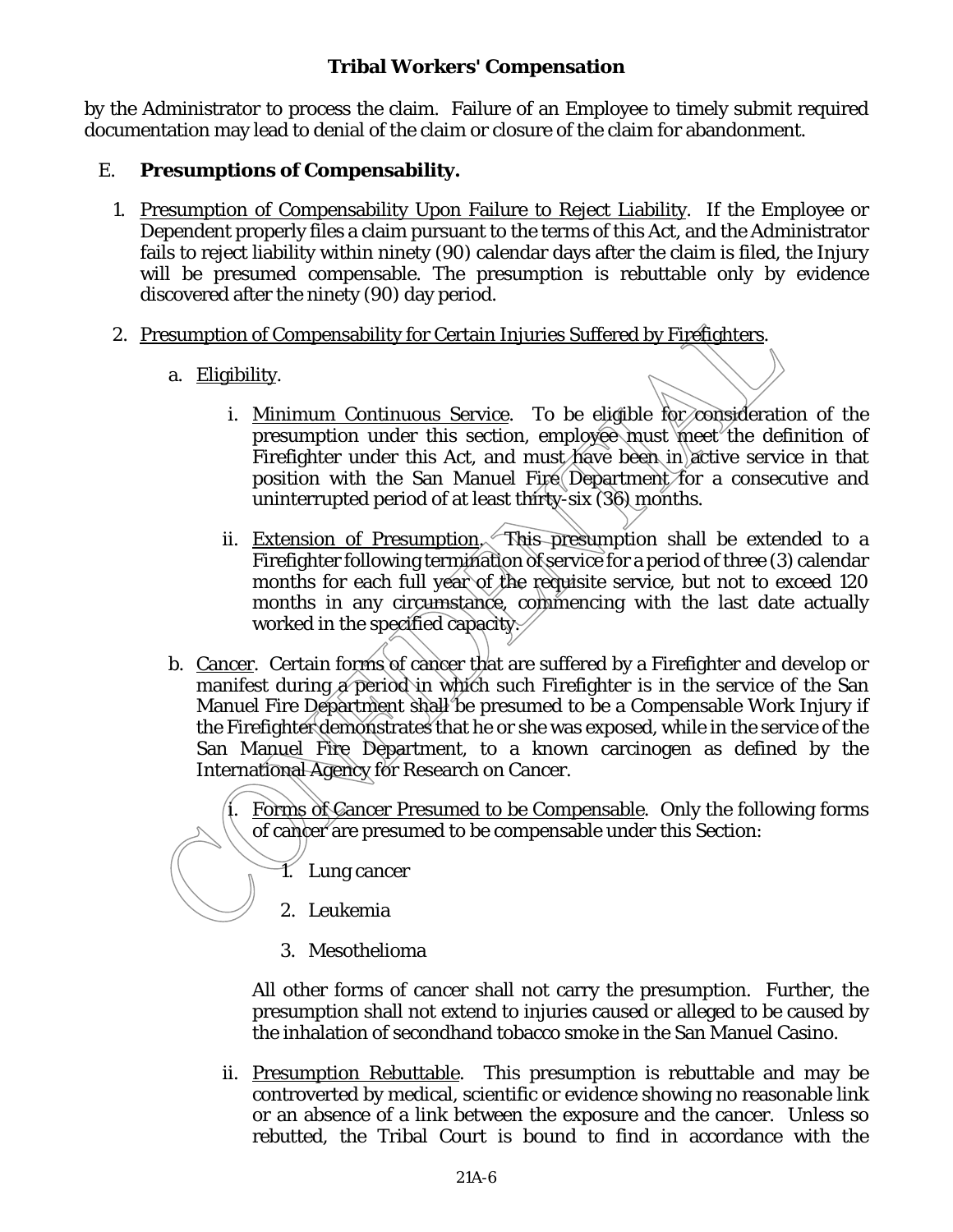by the Administrator to process the claim. Failure of an Employee to timely submit required documentation may lead to denial of the claim or closure of the claim for abandonment.

## E. **Presumptions of Compensability.**

- 1. Presumption of Compensability Upon Failure to Reject Liability. If the Employee or Dependent properly files a claim pursuant to the terms of this Act, and the Administrator fails to reject liability within ninety (90) calendar days after the claim is filed, the Injury will be presumed compensable. The presumption is rebuttable only by evidence discovered after the ninety (90) day period.
- 2. Presumption of Compensability for Certain Injuries Suffered by Firefighters.
	- a. Eligibility.
		- i. Minimum Continuous Service. To be eligible for consideration of the presumption under this section, employee must meet the definition of Firefighter under this Act, and must have been in active service in that position with the San Manuel Fire Department for a consecutive and uninterrupted period of at least thirty-six (36) months.
		- ii. Extension of Presumption. This presumption shall be extended to a Firefighter following termination of service for a period of three (3) calendar months for each full year of the requisite service, but not to exceed 120 months in any circumstance, commencing with the last date actually worked in the specified capacity.
	- b. Cancer. Certain forms of cancer that are suffered by a Firefighter and develop or manifest during a period in which such Firefighter is in the service of the San Manuel Fire Department shall be presumed to be a Compensable Work Injury if the Firefighter demonstrates that he or she was exposed, while in the service of the San Manuel Fire Department, to a known carcinogen as defined by the International Agency for Research on Cancer.

i. Forms of Cancer Presumed to be Compensable. Only the following forms of cancer are presumed to be compensable under this Section:

- 1. Lung cancer
- 2. Leukemia
- 3. Mesothelioma

All other forms of cancer shall not carry the presumption. Further, the presumption shall not extend to injuries caused or alleged to be caused by the inhalation of secondhand tobacco smoke in the San Manuel Casino.

ii. Presumption Rebuttable. This presumption is rebuttable and may be controverted by medical, scientific or evidence showing no reasonable link or an absence of a link between the exposure and the cancer. Unless so rebutted, the Tribal Court is bound to find in accordance with the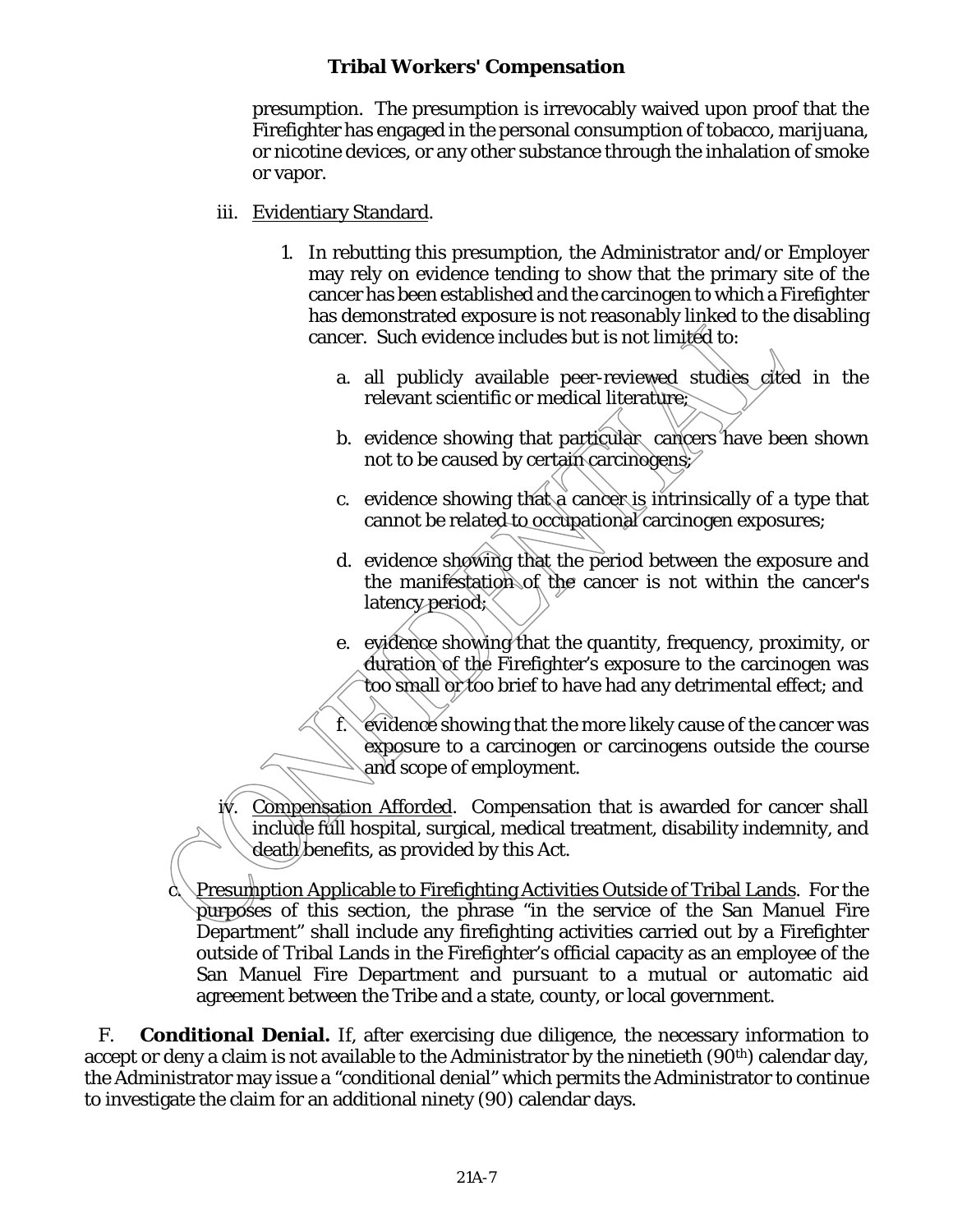presumption. The presumption is irrevocably waived upon proof that the Firefighter has engaged in the personal consumption of tobacco, marijuana, or nicotine devices, or any other substance through the inhalation of smoke or vapor.

- iii. Evidentiary Standard.
	- 1. In rebutting this presumption, the Administrator and/or Employer may rely on evidence tending to show that the primary site of the cancer has been established and the carcinogen to which a Firefighter has demonstrated exposure is not reasonably linked to the disabling cancer. Such evidence includes but is not limited to:
		- a. all publicly available peer-reviewed studies cited in the relevant scientific or medical literature;
		- b. evidence showing that particular cancers have been shown not to be caused by certain carcinogens;
		- c. evidence showing that a cancer is intrinsically of a type that cannot be related to occupational carcinogen exposures;
		- d. evidence showing that the period between the exposure and the manifestation of the cancer is not within the cancer's latency period;
		- e. evidence showing that the quantity, frequency, proximity, or duration of the Firefighter's exposure to the carcinogen was too small or too brief to have had any detrimental effect; and

 $\hat{f}$ . evidence showing that the more likely cause of the cancer was exposure to a carcinogen or carcinogens outside the course and scope of employment.

iv. Compensation Afforded. Compensation that is awarded for cancer shall include full hospital, surgical, medical treatment, disability indemnity, and death benefits, as provided by this Act.

Presumption Applicable to Firefighting Activities Outside of Tribal Lands. For the purposes of this section, the phrase "in the service of the San Manuel Fire Department" shall include any firefighting activities carried out by a Firefighter outside of Tribal Lands in the Firefighter's official capacity as an employee of the San Manuel Fire Department and pursuant to a mutual or automatic aid agreement between the Tribe and a state, county, or local government.

F. **Conditional Denial.** If, after exercising due diligence, the necessary information to accept or deny a claim is not available to the Administrator by the ninetieth (90<sup>th</sup>) calendar day, the Administrator may issue a "conditional denial" which permits the Administrator to continue to investigate the claim for an additional ninety (90) calendar days.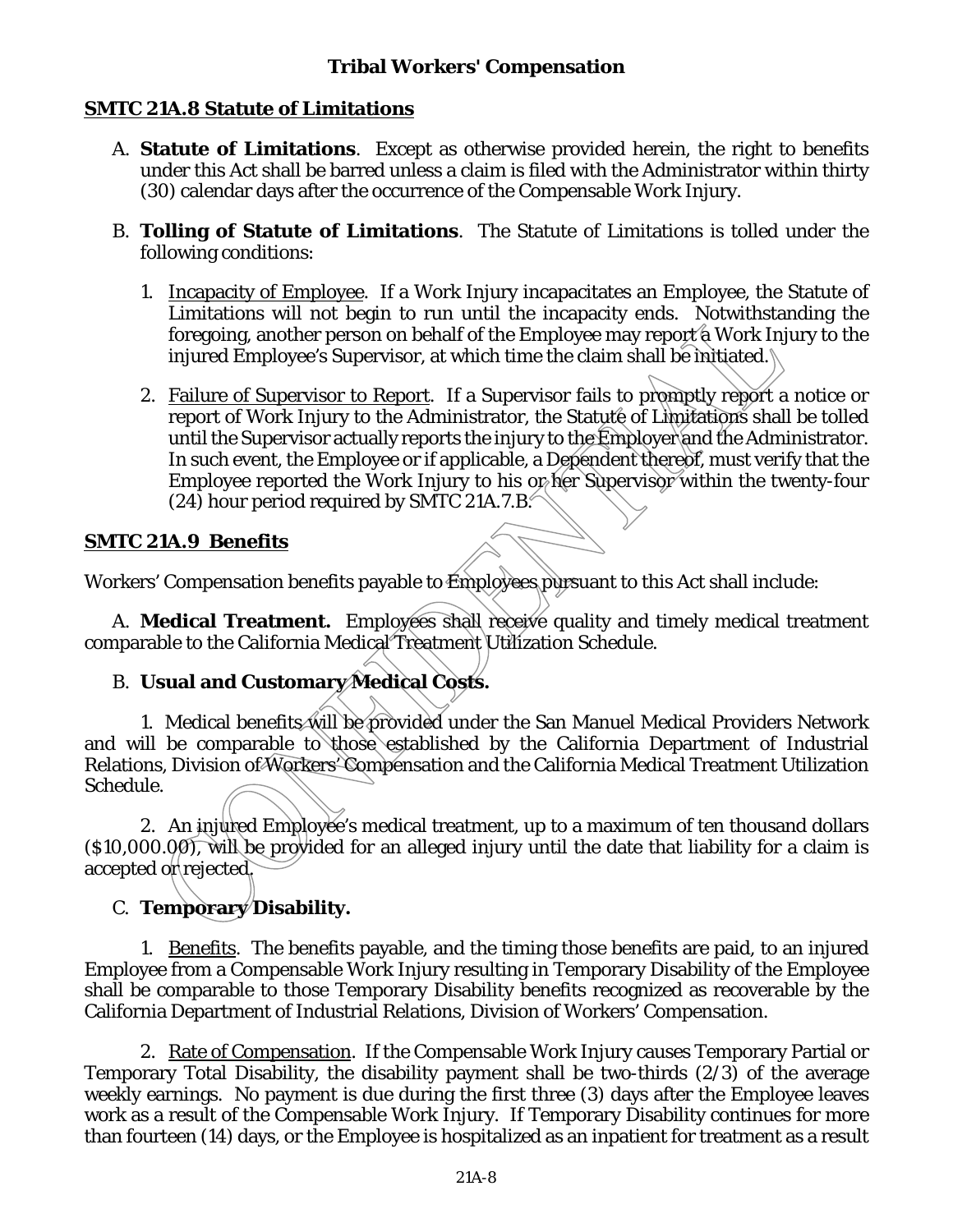# **SMTC 21A.8 Statute of Limitations**

- A. **Statute of Limitations**. Except as otherwise provided herein, the right to benefits under this Act shall be barred unless a claim is filed with the Administrator within thirty (30) calendar days after the occurrence of the Compensable Work Injury.
- B. **Tolling of Statute of Limitations**. The Statute of Limitations is tolled under the following conditions:
	- 1. Incapacity of Employee. If a Work Injury incapacitates an Employee, the Statute of Limitations will not begin to run until the incapacity ends. Notwithstanding the foregoing, another person on behalf of the Employee may report a Work Injury to the injured Employee's Supervisor, at which time the claim shall be initiated.
	- 2. Failure of Supervisor to Report. If a Supervisor fails to promptly report a notice or report of Work Injury to the Administrator, the Statute of Limitations shall be tolled until the Supervisor actually reports the injury to the Employer and the Administrator. In such event, the Employee or if applicable, a Dependent thereof, must verify that the Employee reported the Work Injury to his or her Supervisor within the twenty-four (24) hour period required by SMTC 21A.7.B.

# **SMTC 21A.9 Benefits**

Workers' Compensation benefits payable to Employees pursuant to this Act shall include:

A. **Medical Treatment.** Employees shall receive quality and timely medical treatment comparable to the California Medical Treatment Utilization Schedule.

# B. **Usual and Customary Medical Costs.**

1. Medical benefits will be provided under the San Manuel Medical Providers Network and will be comparable to those established by the California Department of Industrial Relations, Division of Workers' Compensation and the California Medical Treatment Utilization Schedule.

2. An injured Employee's medical treatment, up to a maximum of ten thousand dollars (\$10,000.00), will be provided for an alleged injury until the date that liability for a claim is  $\operatorname{accepted}$  or rejected.

# C. **Temporary Disability.**

1. Benefits. The benefits payable, and the timing those benefits are paid, to an injured Employee from a Compensable Work Injury resulting in Temporary Disability of the Employee shall be comparable to those Temporary Disability benefits recognized as recoverable by the California Department of Industrial Relations, Division of Workers' Compensation.

2. Rate of Compensation. If the Compensable Work Injury causes Temporary Partial or Temporary Total Disability, the disability payment shall be two-thirds (2/3) of the average weekly earnings. No payment is due during the first three (3) days after the Employee leaves work as a result of the Compensable Work Injury. If Temporary Disability continues for more than fourteen (14) days, or the Employee is hospitalized as an inpatient for treatment as a result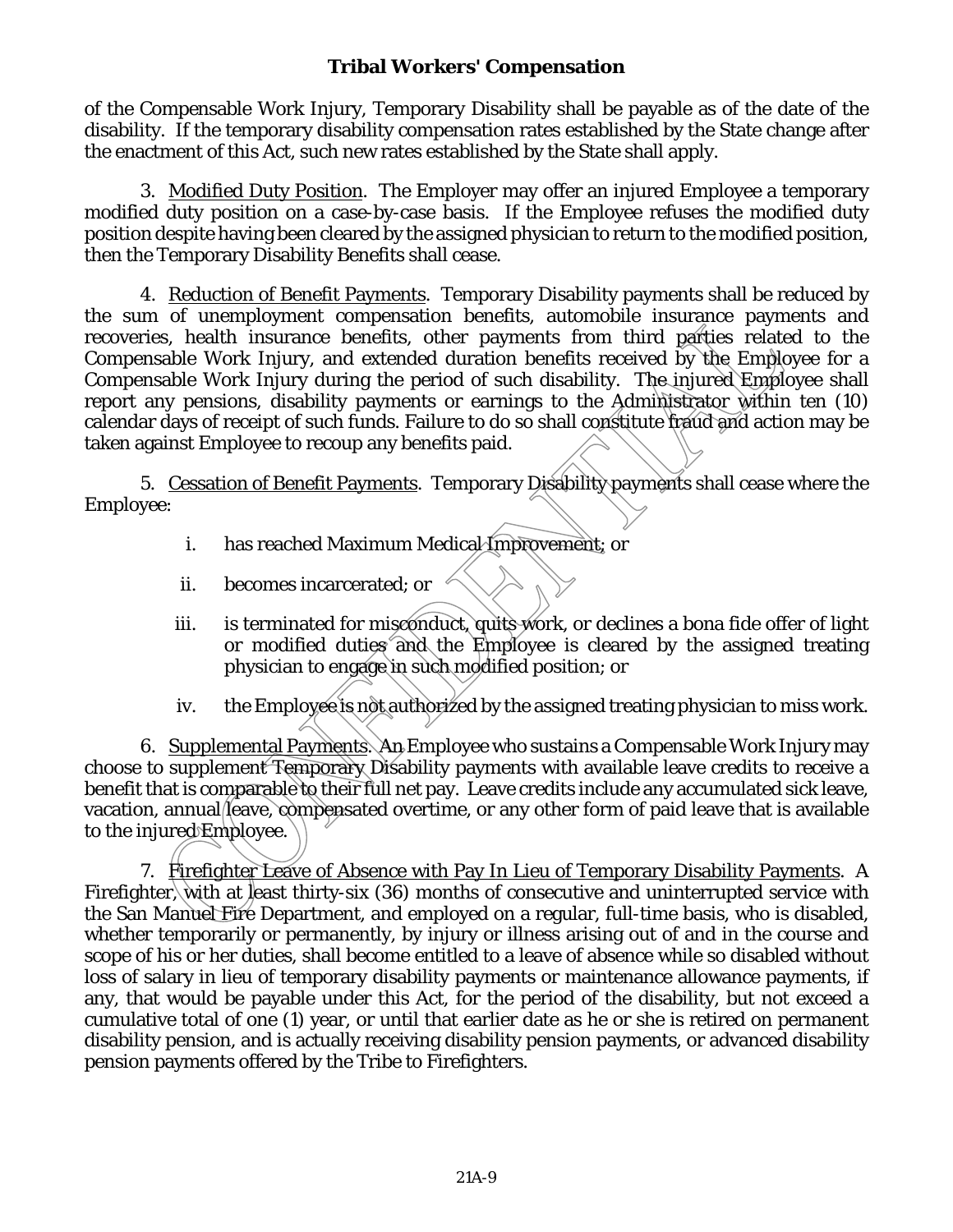of the Compensable Work Injury, Temporary Disability shall be payable as of the date of the disability. If the temporary disability compensation rates established by the State change after the enactment of this Act, such new rates established by the State shall apply.

3. Modified Duty Position. The Employer may offer an injured Employee a temporary modified duty position on a case-by-case basis. If the Employee refuses the modified duty position despite having been cleared by the assigned physician to return to the modified position, then the Temporary Disability Benefits shall cease.

4. Reduction of Benefit Payments. Temporary Disability payments shall be reduced by the sum of unemployment compensation benefits, automobile insurance payments and recoveries, health insurance benefits, other payments from third parties related to the Compensable Work Injury, and extended duration benefits received by the Employee for a Compensable Work Injury during the period of such disability. The injured Employee shall report any pensions, disability payments or earnings to the Administrator within ten (10) calendar days of receipt of such funds. Failure to do so shall constitute fraud and action may be taken against Employee to recoup any benefits paid.

5. Cessation of Benefit Payments. Temporary Disability payments shall cease where the Employee:

- i. has reached Maximum Medical Improvement; or
- ii. becomes incarcerated; or
- iii. is terminated for misconduct, quits work, or declines a bona fide offer of light or modified duties and the Employee is cleared by the assigned treating physician to engage in such modified position; or
- iv. the Employee is not authorized by the assigned treating physician to miss work.

6. Supplemental Payments. An Employee who sustains a Compensable Work Injury may choose to supplement Temporary Disability payments with available leave credits to receive a benefit that is comparable to their full net pay. Leave credits include any accumulated sick leave, vacation, annual leave, compensated overtime, or any other form of paid leave that is available to the injured Employee.

7. Firefighter Leave of Absence with Pay In Lieu of Temporary Disability Payments. A Firefighter, with at least thirty-six (36) months of consecutive and uninterrupted service with the San Manuel Fire Department, and employed on a regular, full-time basis, who is disabled, whether temporarily or permanently, by injury or illness arising out of and in the course and scope of his or her duties, shall become entitled to a leave of absence while so disabled without loss of salary in lieu of temporary disability payments or maintenance allowance payments, if any, that would be payable under this Act, for the period of the disability, but not exceed a cumulative total of one (1) year, or until that earlier date as he or she is retired on permanent disability pension, and is actually receiving disability pension payments, or advanced disability pension payments offered by the Tribe to Firefighters.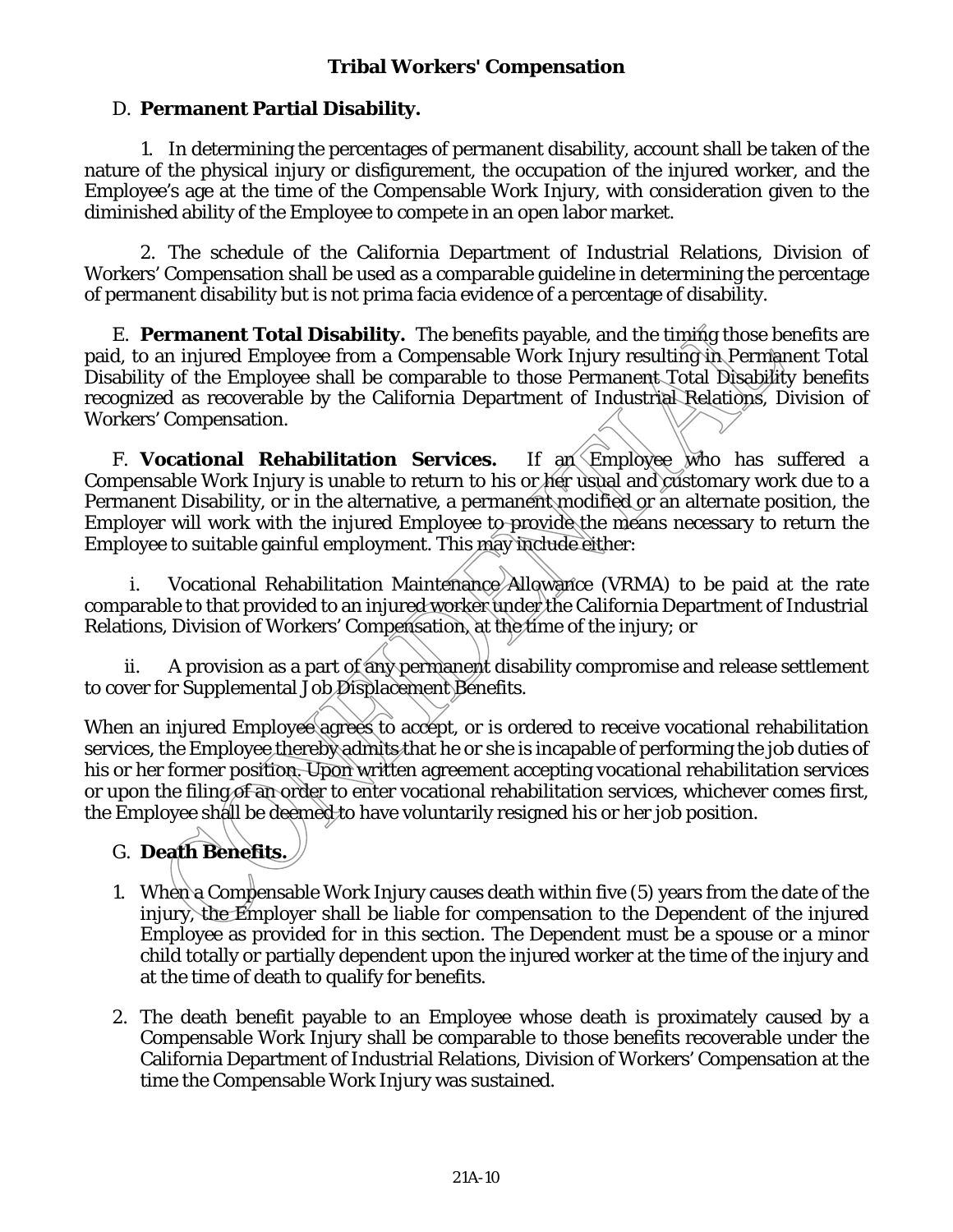### D. **Permanent Partial Disability.**

1. In determining the percentages of permanent disability, account shall be taken of the nature of the physical injury or disfigurement, the occupation of the injured worker, and the Employee's age at the time of the Compensable Work Injury, with consideration given to the diminished ability of the Employee to compete in an open labor market.

2. The schedule of the California Department of Industrial Relations, Division of Workers' Compensation shall be used as a comparable guideline in determining the percentage of permanent disability but is not prima facia evidence of a percentage of disability.

E. **Permanent Total Disability.** The benefits payable, and the timing those benefits are paid, to an injured Employee from a Compensable Work Injury resulting in Permanent Total Disability of the Employee shall be comparable to those Permanent Total Disability benefits recognized as recoverable by the California Department of Industrial Relations, Division of Workers' Compensation.

F. Vocational Rehabilitation Services. If an Employee who has suffered a Compensable Work Injury is unable to return to his or her usual and customary work due to a Permanent Disability, or in the alternative, a permanent modified or an alternate position, the Employer will work with the injured Employee to provide the means necessary to return the Employee to suitable gainful employment. This may include either:

Vocational Rehabilitation Maintenance Allowance (VRMA) to be paid at the rate comparable to that provided to an injured worker under the California Department of Industrial Relations, Division of Workers' Compensation, at the time of the injury; or

ii. A provision as a part of any permanent disability compromise and release settlement to cover for Supplemental Job Displacement Benefits.

When an injured Employee agrees to accept, or is ordered to receive vocational rehabilitation services, the Employee thereby admits that he or she is incapable of performing the job duties of his or her former position. Upon written agreement accepting vocational rehabilitation services or upon the filing of an order to enter vocational rehabilitation services, whichever comes first, the Employee shall be deemed to have voluntarily resigned his or her job position.

# G. **Death Benefits.**

- 1. When a Compensable Work Injury causes death within five (5) years from the date of the injury, the Employer shall be liable for compensation to the Dependent of the injured Employee as provided for in this section. The Dependent must be a spouse or a minor child totally or partially dependent upon the injured worker at the time of the injury and at the time of death to qualify for benefits.
- 2. The death benefit payable to an Employee whose death is proximately caused by a Compensable Work Injury shall be comparable to those benefits recoverable under the California Department of Industrial Relations, Division of Workers' Compensation at the time the Compensable Work Injury was sustained.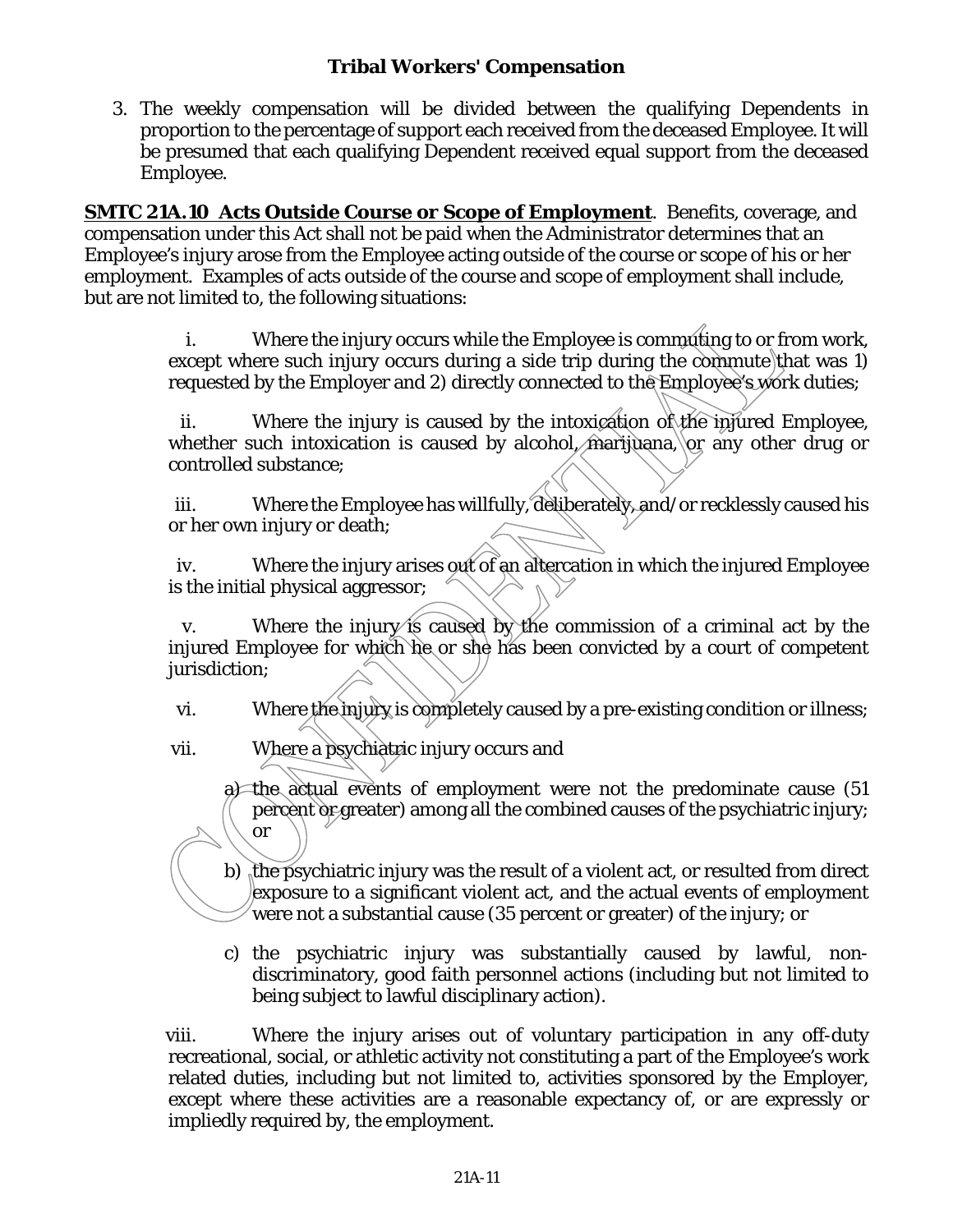3. The weekly compensation will be divided between the qualifying Dependents in proportion to the percentage of support each received from the deceased Employee. It will be presumed that each qualifying Dependent received equal support from the deceased Employee.

**SMTC 21A.10 Acts Outside Course or Scope of Employment**.Benefits, coverage, and compensation under this Act shall not be paid when the Administrator determines that an Employee's injury arose from the Employee acting outside of the course or scope of his or her employment. Examples of acts outside of the course and scope of employment shall include, but are not limited to, the following situations:

> i. Where the injury occurs while the Employee is commuting to or from work, except where such injury occurs during a side trip during the commute that was 1) requested by the Employer and 2) directly connected to the Employee's work duties;

> ii. Where the injury is caused by the intoxication of the injured Employee, whether such intoxication is caused by alcohol, marijuana, or any other drug or controlled substance;

> iii. Where the Employee has willfully, deliberately, and/or recklessly caused his or her own injury or death;

> iv. Where the injury arises out of an altercation in which the injured Employee is the initial physical aggressor;

> v. Where the injury is caused by the commission of a criminal act by the injured Employee for which he or she has been convicted by a court of competent jurisdiction:

vi. Where the injury is completely caused by a pre-existing condition or illness;

vii. Where a psychiatric injury occurs and

a) the actual events of employment were not the predominate cause (51 percent or greater) among all the combined causes of the psychiatric injury; or

b) the psychiatric injury was the result of a violent act, or resulted from direct exposure to a significant violent act, and the actual events of employment were not a substantial cause (35 percent or greater) of the injury; or

c) the psychiatric injury was substantially caused by lawful, nondiscriminatory, good faith personnel actions (including but not limited to being subject to lawful disciplinary action).

viii. Where the injury arises out of voluntary participation in any off-duty recreational, social, or athletic activity not constituting a part of the Employee's work related duties, including but not limited to, activities sponsored by the Employer, except where these activities are a reasonable expectancy of, or are expressly or impliedly required by, the employment.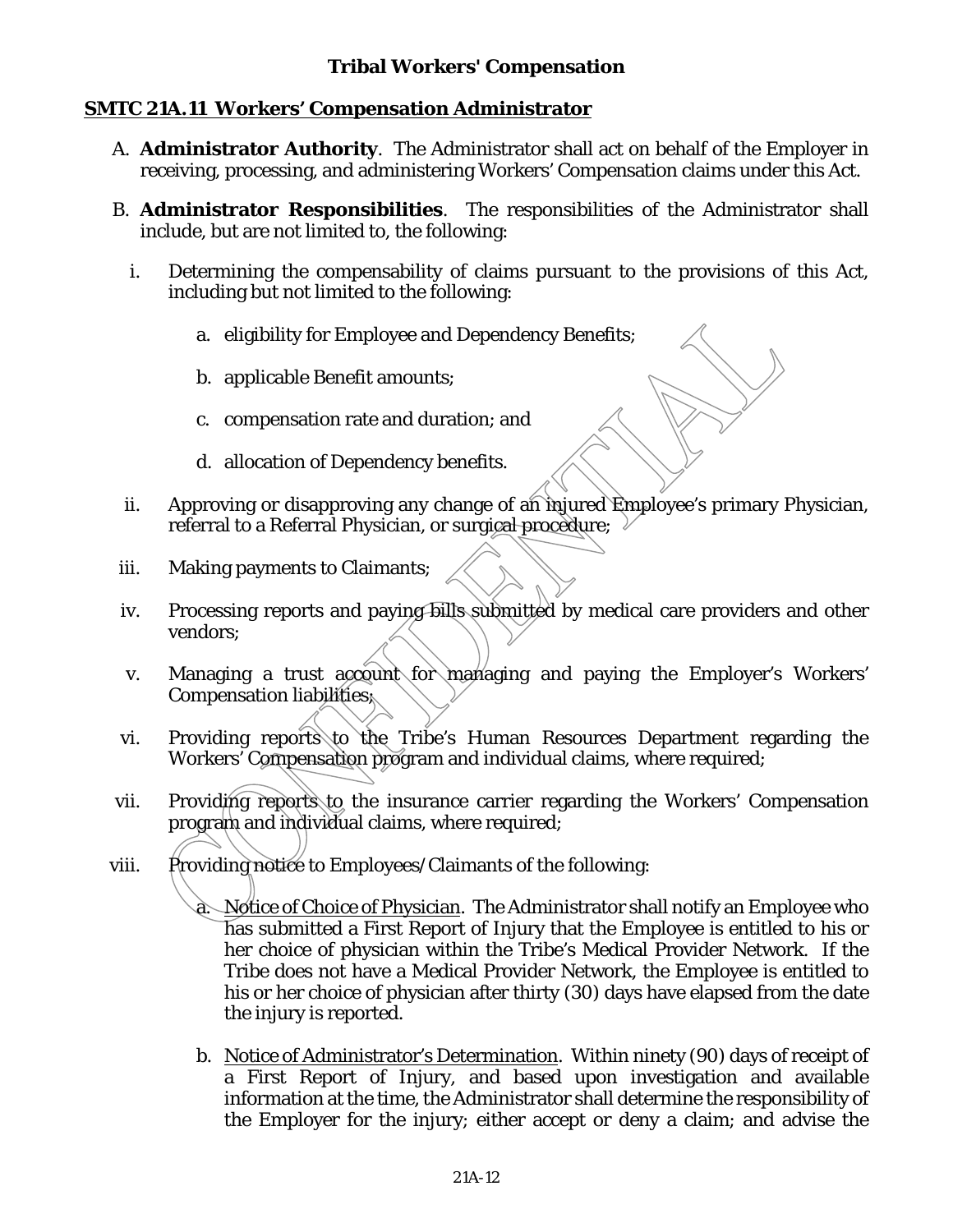### **SMTC 21A.11 Workers' Compensation Administrator**

- A. **Administrator Authority**. The Administrator shall act on behalf of the Employer in receiving, processing, and administering Workers' Compensation claims under this Act.
- B. **Administrator Responsibilities**. The responsibilities of the Administrator shall include, but are not limited to, the following:
	- i. Determining the compensability of claims pursuant to the provisions of this Act, including but not limited to the following:
		- a. eligibility for Employee and Dependency Benefits;
		- b. applicable Benefit amounts;
		- c. compensation rate and duration; and
		- d. allocation of Dependency benefits.
	- ii. Approving or disapproving any change of an injured Employee's primary Physician, referral to a Referral Physician, or surgical procedure;
- iii. Making payments to Claimants;
- iv. Processing reports and paying bills submitted by medical care providers and other vendors;
- v. Managing a trust account for managing and paying the Employer's Workers' Compensation liabilities;
- vi. Providing reports to the Tribe's Human Resources Department regarding the Workers' Compensation program and individual claims, where required;
- vii. Providing reports to the insurance carrier regarding the Workers' Compensation program and individual claims, where required;
- viii. Providing notice to Employees/Claimants of the following:
	- a. Notice of Choice of Physician. The Administrator shall notify an Employee who has submitted a First Report of Injury that the Employee is entitled to his or her choice of physician within the Tribe's Medical Provider Network. If the Tribe does not have a Medical Provider Network, the Employee is entitled to his or her choice of physician after thirty (30) days have elapsed from the date the injury is reported.
	- b. Notice of Administrator's Determination. Within ninety (90) days of receipt of a First Report of Injury, and based upon investigation and available information at the time, the Administrator shall determine the responsibility of the Employer for the injury; either accept or deny a claim; and advise the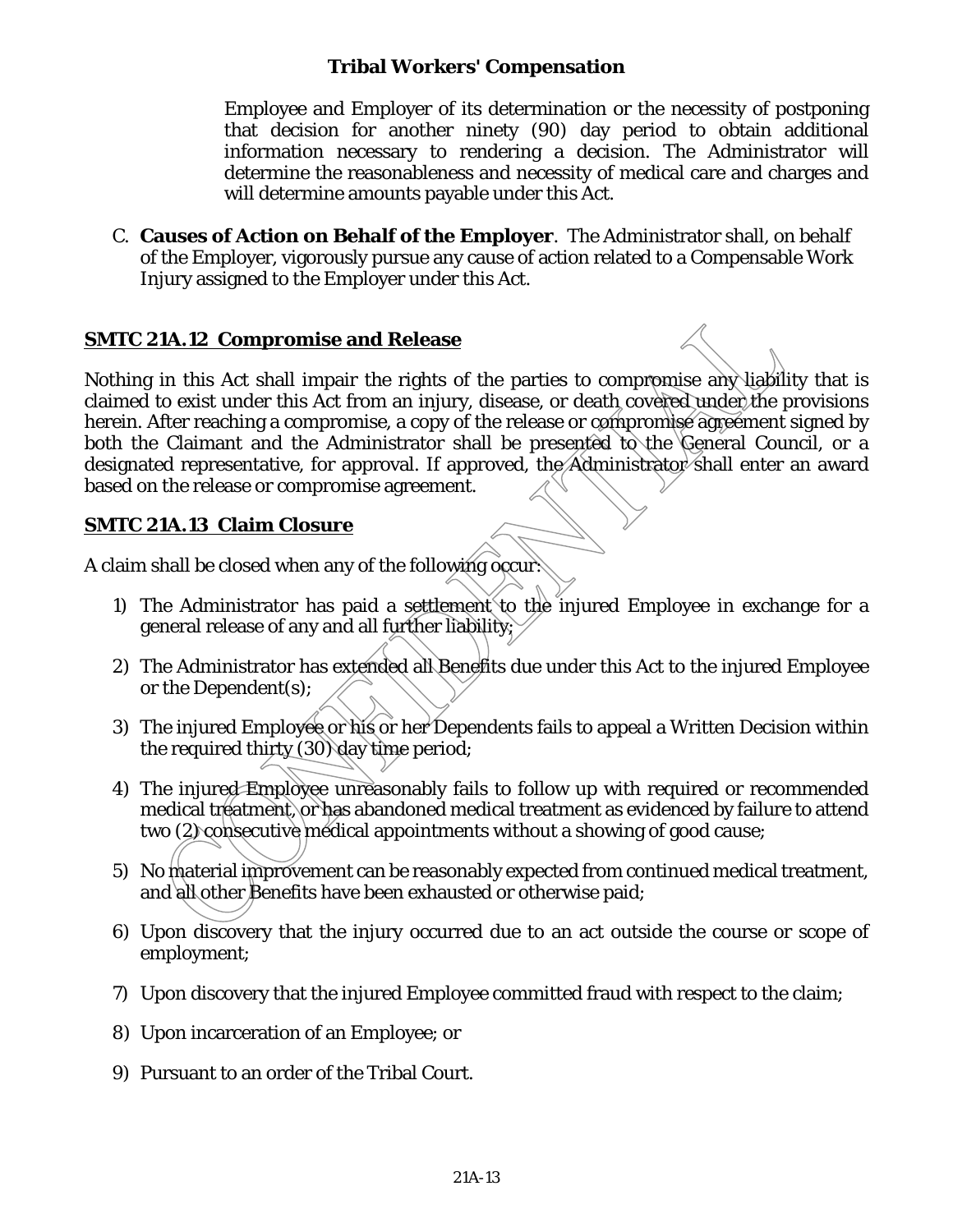Employee and Employer of its determination or the necessity of postponing that decision for another ninety (90) day period to obtain additional information necessary to rendering a decision. The Administrator will determine the reasonableness and necessity of medical care and charges and will determine amounts payable under this Act.

C. **Causes of Action on Behalf of the Employer**. The Administrator shall, on behalf of the Employer, vigorously pursue any cause of action related to a Compensable Work Injury assigned to the Employer under this Act.

### **SMTC 21A.12 Compromise and Release**

Nothing in this Act shall impair the rights of the parties to compromise any liability that is claimed to exist under this Act from an injury, disease, or death covered under the provisions herein. After reaching a compromise, a copy of the release or compromise agreement signed by both the Claimant and the Administrator shall be presented to the General Council, or a designated representative, for approval. If approved, the  $\overrightarrow{A}$ dministrator shall enter an award based on the release or compromise agreement.

## **SMTC 21A.13 Claim Closure**

A claim shall be closed when any of the following occur:

- 1) The Administrator has paid a settlement to the injured Employee in exchange for a general release of any and all further liability;
- 2) The Administrator has extended all Benefits due under this Act to the injured Employee or the Dependent(s);
- 3) The injured Employee or his or her Dependents fails to appeal a Written Decision within the required thirty (30) day time period;
- 4) The injured Employee unreasonably fails to follow up with required or recommended medical treatment, or has abandoned medical treatment as evidenced by failure to attend two (2) consecutive medical appointments without a showing of good cause;
- 5) No material improvement can be reasonably expected from continued medical treatment, and all other Benefits have been exhausted or otherwise paid;
- 6) Upon discovery that the injury occurred due to an act outside the course or scope of employment;
- 7) Upon discovery that the injured Employee committed fraud with respect to the claim;
- 8) Upon incarceration of an Employee; or
- 9) Pursuant to an order of the Tribal Court.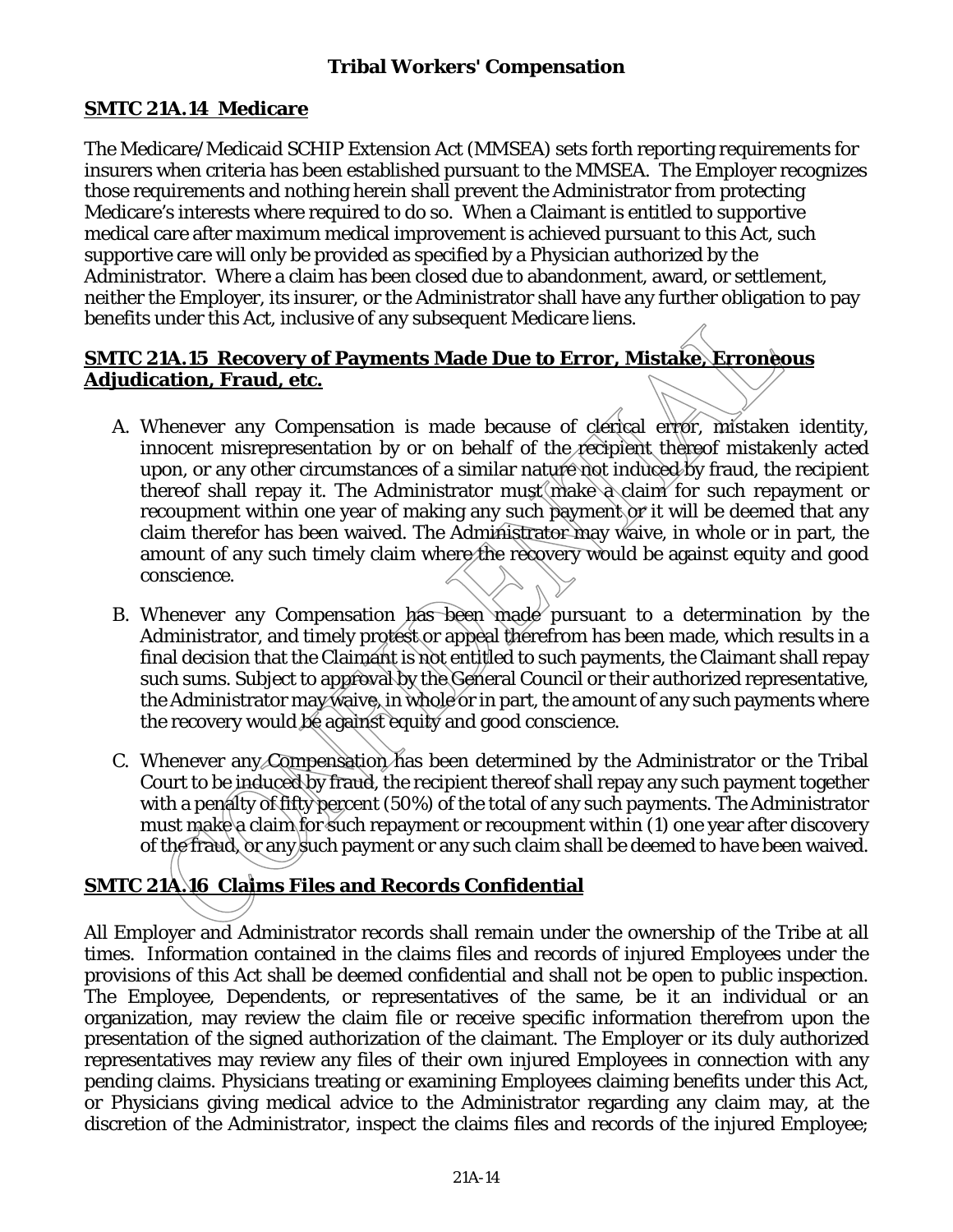# **SMTC 21A.14 Medicare**

The Medicare/Medicaid SCHIP Extension Act (MMSEA) sets forth reporting requirements for insurers when criteria has been established pursuant to the MMSEA. The Employer recognizes those requirements and nothing herein shall prevent the Administrator from protecting Medicare's interests where required to do so. When a Claimant is entitled to supportive medical care after maximum medical improvement is achieved pursuant to this Act, such supportive care will only be provided as specified by a Physician authorized by the Administrator. Where a claim has been closed due to abandonment, award, or settlement, neither the Employer, its insurer, or the Administrator shall have any further obligation to pay benefits under this Act, inclusive of any subsequent Medicare liens.

# **SMTC 21A.15 Recovery of Payments Made Due to Error, Mistake, Erroneous Adjudication, Fraud, etc.**

- A. Whenever any Compensation is made because of clerical error, mistaken identity, innocent misrepresentation by or on behalf of the recipient thereof mistakenly acted upon, or any other circumstances of a similar nature not induced by fraud, the recipient thereof shall repay it. The Administrator must make a claim for such repayment or recoupment within one year of making any such payment or it will be deemed that any claim therefor has been waived. The Administrator may waive, in whole or in part, the amount of any such timely claim where the recovery would be against equity and good conscience.
- B. Whenever any Compensation has been made pursuant to a determination by the Administrator, and timely protest or appeal therefrom has been made, which results in a final decision that the Claimant is not entitled to such payments, the Claimant shall repay such sums. Subject to approval by the General Council or their authorized representative, the Administrator may waive, in whole or in part, the amount of any such payments where the recovery would be against equity and good conscience.
- C. Whenever any Compensation has been determined by the Administrator or the Tribal Court to be induced by fraud, the recipient thereof shall repay any such payment together with a penalty of fifty percent (50%) of the total of any such payments. The Administrator must make a claim for such repayment or recoupment within (1) one year after discovery of the fraud, or any such payment or any such claim shall be deemed to have been waived.

# **SMTC 21A.16 Claims Files and Records Confidential**

All Employer and Administrator records shall remain under the ownership of the Tribe at all times. Information contained in the claims files and records of injured Employees under the provisions of this Act shall be deemed confidential and shall not be open to public inspection. The Employee, Dependents, or representatives of the same, be it an individual or an organization, may review the claim file or receive specific information therefrom upon the presentation of the signed authorization of the claimant. The Employer or its duly authorized representatives may review any files of their own injured Employees in connection with any pending claims. Physicians treating or examining Employees claiming benefits under this Act, or Physicians giving medical advice to the Administrator regarding any claim may, at the discretion of the Administrator, inspect the claims files and records of the injured Employee;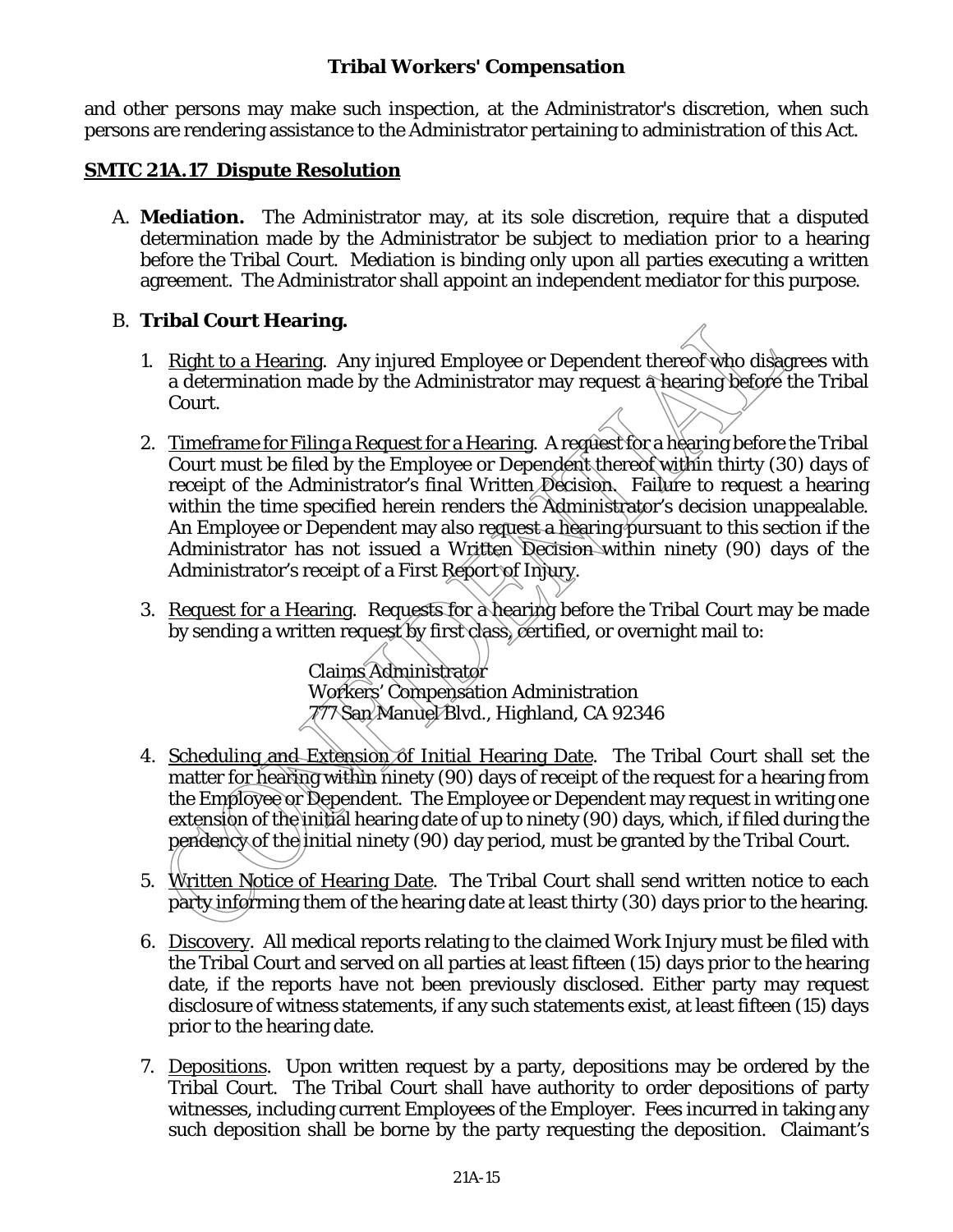and other persons may make such inspection, at the Administrator's discretion, when such persons are rendering assistance to the Administrator pertaining to administration of this Act.

#### **SMTC 21A.17 Dispute Resolution**

A. **Mediation.** The Administrator may, at its sole discretion, require that a disputed determination made by the Administrator be subject to mediation prior to a hearing before the Tribal Court. Mediation is binding only upon all parties executing a written agreement. The Administrator shall appoint an independent mediator for this purpose.

#### B. **Tribal Court Hearing.**

- 1. Right to a Hearing. Any injured Employee or Dependent thereof who disagrees with a determination made by the Administrator may request a hearing before the Tribal Court.
- 2. Timeframe for Filing a Request for a Hearing. A reguest for a hearing before the Tribal Court must be filed by the Employee or Dependent thereof within thirty (30) days of receipt of the Administrator's final Written Decision. Failure to request a hearing within the time specified herein renders the Administrator's decision unappealable. An Employee or Dependent may also request a hearing pursuant to this section if the Administrator has not issued a Written Decision within ninety (90) days of the Administrator's receipt of a First Report of Injury.
- 3. Request for a Hearing. Requests for a hearing before the Tribal Court may be made by sending a written request by first class, certified, or overnight mail to:

Claims Administrator Workers' Compensation Administration 777 San Manuel Blvd., Highland, CA 92346

- 4. Scheduling and Extension of Initial Hearing Date. The Tribal Court shall set the matter for hearing within ninety (90) days of receipt of the request for a hearing from the Employee or Dependent. The Employee or Dependent may request in writing one extension of the initial hearing date of up to ninety (90) days, which, if filed during the pendency of the initial ninety (90) day period, must be granted by the Tribal Court.
- 5. Written Notice of Hearing Date. The Tribal Court shall send written notice to each party informing them of the hearing date at least thirty (30) days prior to the hearing.
- 6. Discovery. All medical reports relating to the claimed Work Injury must be filed with the Tribal Court and served on all parties at least fifteen (15) days prior to the hearing date, if the reports have not been previously disclosed. Either party may request disclosure of witness statements, if any such statements exist, at least fifteen (15) days prior to the hearing date.
- 7. Depositions. Upon written request by a party, depositions may be ordered by the Tribal Court. The Tribal Court shall have authority to order depositions of party witnesses, including current Employees of the Employer. Fees incurred in taking any such deposition shall be borne by the party requesting the deposition. Claimant's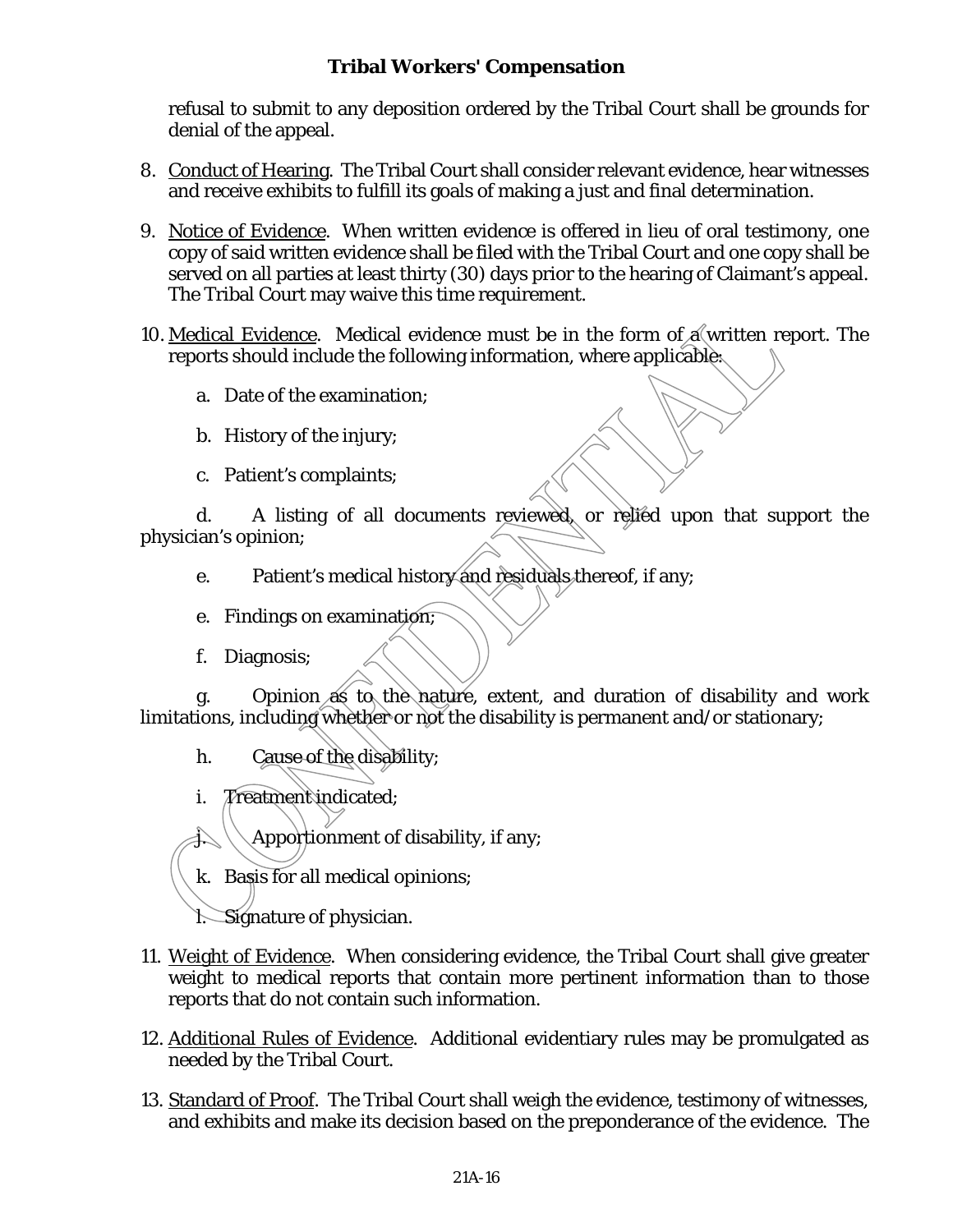refusal to submit to any deposition ordered by the Tribal Court shall be grounds for denial of the appeal.

- 8. Conduct of Hearing. The Tribal Court shall consider relevant evidence, hear witnesses and receive exhibits to fulfill its goals of making a just and final determination.
- 9. Notice of Evidence. When written evidence is offered in lieu of oral testimony, one copy of said written evidence shall be filed with the Tribal Court and one copy shall be served on all parties at least thirty (30) days prior to the hearing of Claimant's appeal. The Tribal Court may waive this time requirement.
- 10. Medical Evidence. Medical evidence must be in the form of  $\alpha$  written report. The reports should include the following information, where applicable:
	- a. Date of the examination;
	- b. History of the injury;
	- c. Patient's complaints;

d. A listing of all documents reviewed, or relied upon that support the physician's opinion;

- e. Patient's medical history and residuals thereof, if any;
- e. Findings on examination;
- f. Diagnosis;

g. Opinion as to the nature, extent, and duration of disability and work limitations, including whether or not the disability is permanent and/or stationary;

- h. Cause of the disability;
- i. Treatment indicated;

Apportionment of disability, if any;

k. Basis for all medical opinions;

l. Signature of physician.

- 11. Weight of Evidence. When considering evidence, the Tribal Court shall give greater weight to medical reports that contain more pertinent information than to those reports that do not contain such information.
- 12. Additional Rules of Evidence. Additional evidentiary rules may be promulgated as needed by the Tribal Court.
- 13. Standard of Proof. The Tribal Court shall weigh the evidence, testimony of witnesses, and exhibits and make its decision based on the preponderance of the evidence. The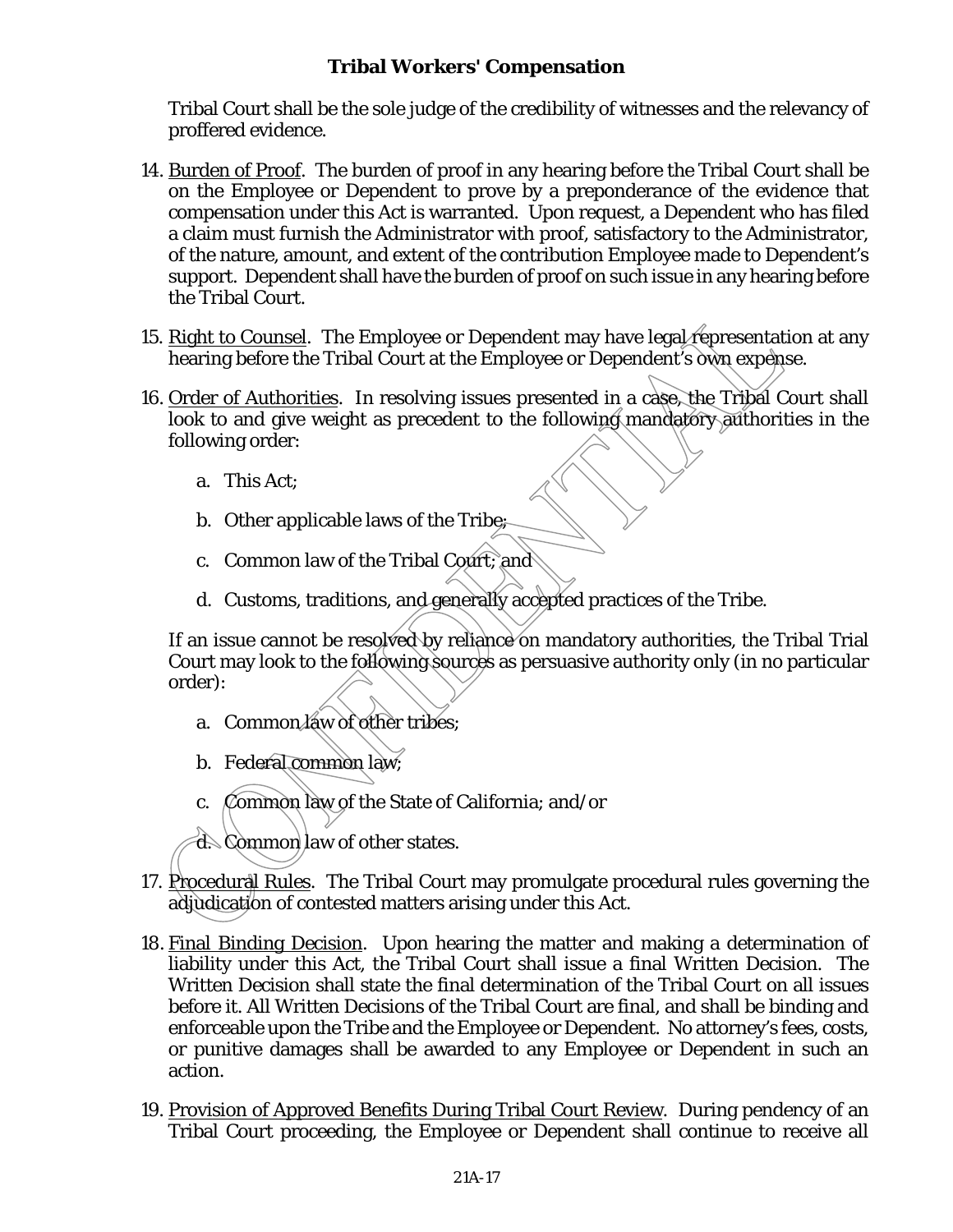Tribal Court shall be the sole judge of the credibility of witnesses and the relevancy of proffered evidence.

- 14. Burden of Proof. The burden of proof in any hearing before the Tribal Court shall be on the Employee or Dependent to prove by a preponderance of the evidence that compensation under this Act is warranted. Upon request, a Dependent who has filed a claim must furnish the Administrator with proof, satisfactory to the Administrator, of the nature, amount, and extent of the contribution Employee made to Dependent's support. Dependent shall have the burden of proof on such issue in any hearing before the Tribal Court.
- 15. Right to Counsel. The Employee or Dependent may have legal representation at any hearing before the Tribal Court at the Employee or Dependent's own expense.
- 16. Order of Authorities. In resolving issues presented in a case, the Tribal Court shall look to and give weight as precedent to the following mandatory authorities in the following order:
	- a. This Act;
	- b. Other applicable laws of the Tribe;
	- c. Common law of the Tribal Court; and
	- d. Customs, traditions, and generally accepted practices of the Tribe.

If an issue cannot be resolved by reliance on mandatory authorities, the Tribal Trial Court may look to the following sources as persuasive authority only (in no particular order):

- a. Common law of other tribes;
- b. Federal common law;
- c. Common law of the State of California; and/or
- d. Common law of other states.
- 17. Procedural Rules. The Tribal Court may promulgate procedural rules governing the adjudication of contested matters arising under this Act.
- 18. Final Binding Decision. Upon hearing the matter and making a determination of liability under this Act, the Tribal Court shall issue a final Written Decision. The Written Decision shall state the final determination of the Tribal Court on all issues before it. All Written Decisions of the Tribal Court are final, and shall be binding and enforceable upon the Tribe and the Employee or Dependent. No attorney's fees, costs, or punitive damages shall be awarded to any Employee or Dependent in such an action.
- 19. Provision of Approved Benefits During Tribal Court Review. During pendency of an Tribal Court proceeding, the Employee or Dependent shall continue to receive all